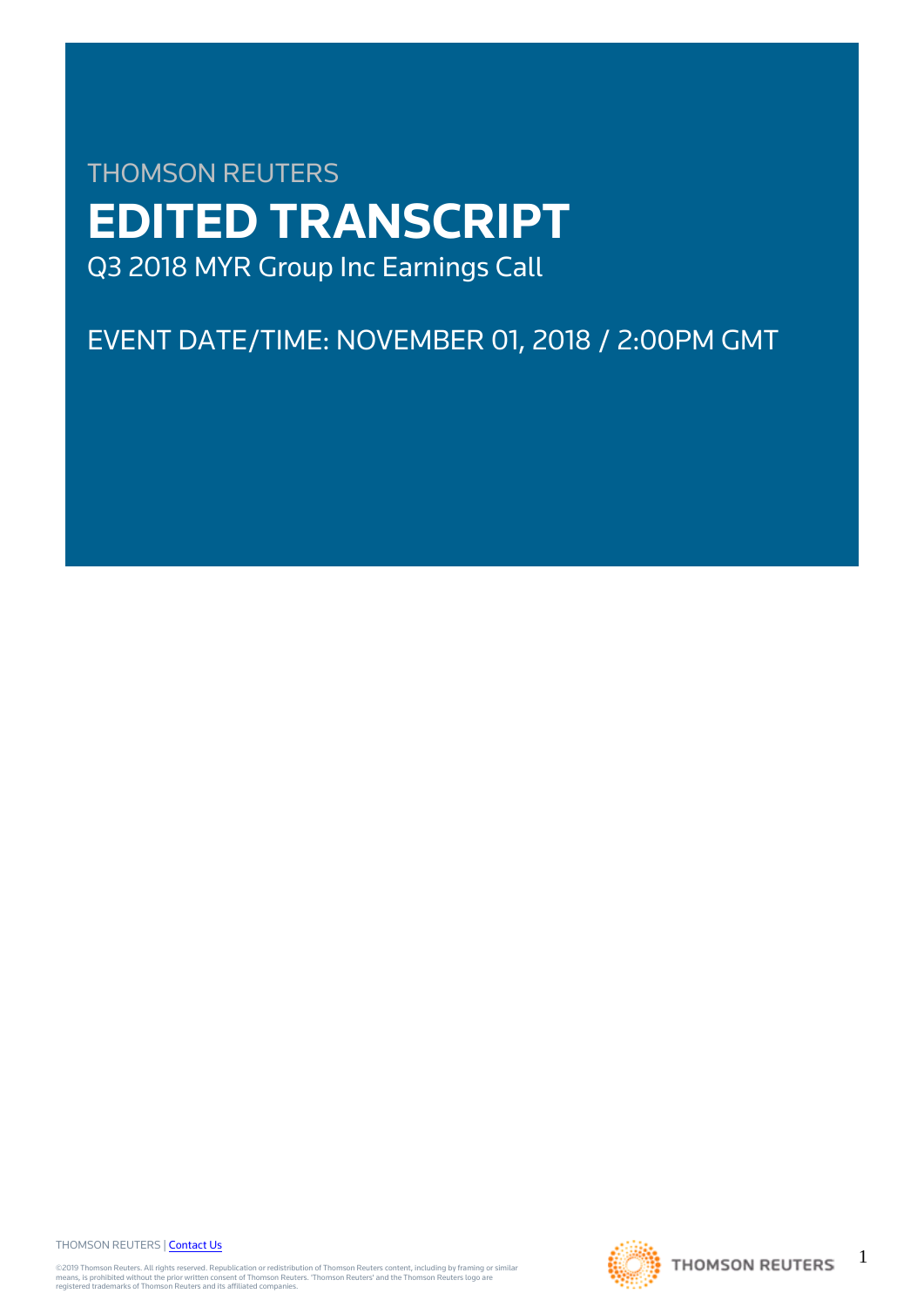# THOMSON REUTERS **EDITED TRANSCRIPT** Q3 2018 MYR Group Inc Earnings Call

EVENT DATE/TIME: NOVEMBER 01, 2018 / 2:00PM GMT

THOMSON REUTERS | [Contact Us](https://my.thomsonreuters.com/ContactUsNew)

©2019 Thomson Reuters. All rights reserved. Republication or redistribution of Thomson Reuters content, including by framing or similar<br>means, is prohibited without the prior written consent of Thomson Reuters. "Thomson Re



1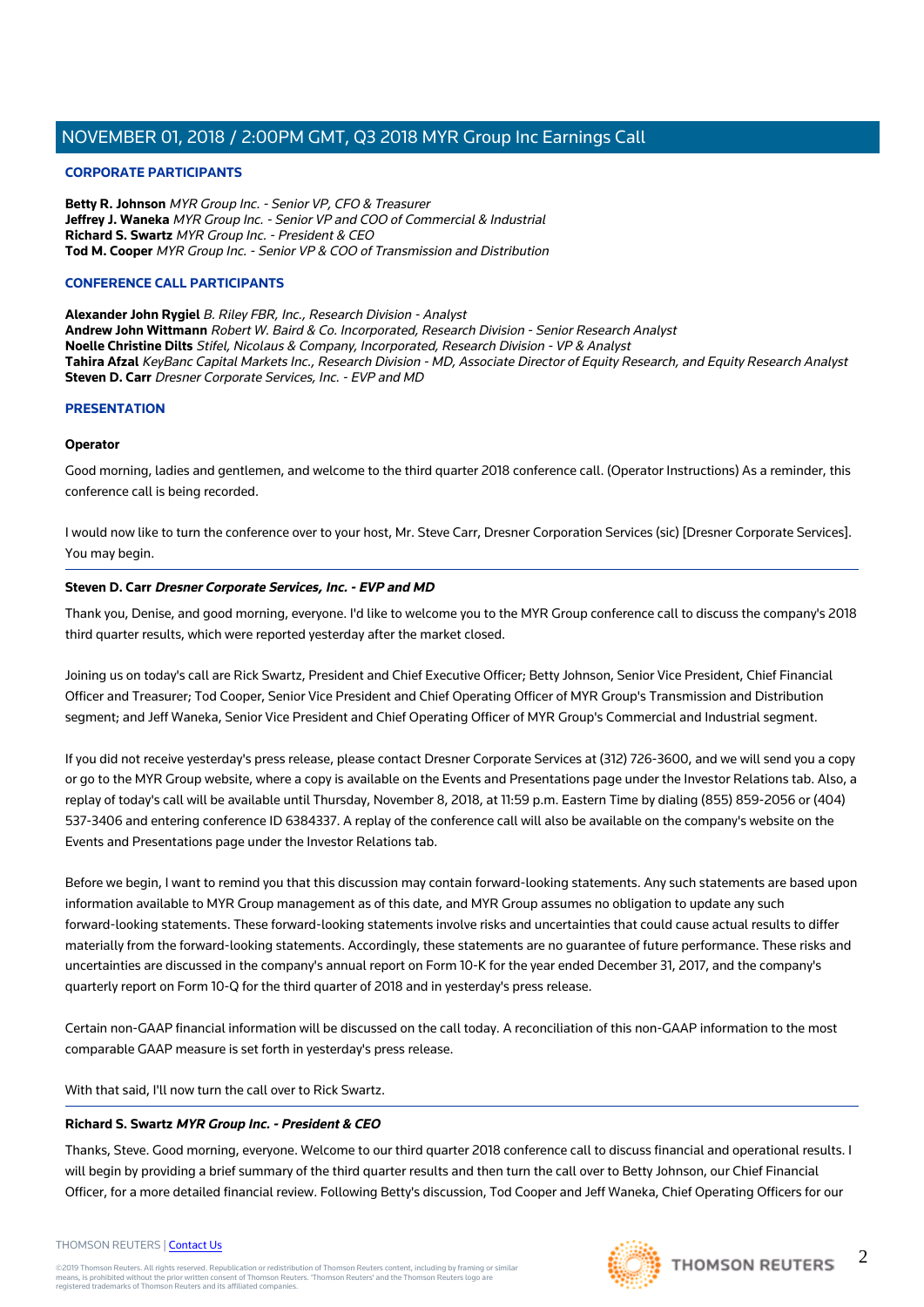#### **CORPORATE PARTICIPANTS**

**Betty R. Johnson** MYR Group Inc. - Senior VP, CFO & Treasurer **Jeffrey J. Waneka** MYR Group Inc. - Senior VP and COO of Commercial & Industrial **Richard S. Swartz** MYR Group Inc. - President & CEO **Tod M. Cooper** MYR Group Inc. - Senior VP & COO of Transmission and Distribution

#### **CONFERENCE CALL PARTICIPANTS**

**Alexander John Rygiel** B. Riley FBR, Inc., Research Division - Analyst **Andrew John Wittmann** Robert W. Baird & Co. Incorporated, Research Division - Senior Research Analyst **Noelle Christine Dilts** Stifel, Nicolaus & Company, Incorporated, Research Division - VP & Analyst Tahira Afzal KeyBanc Capital Markets Inc., Research Division - MD, Associate Director of Equity Research, and Equity Research Analyst **Steven D. Carr** Dresner Corporate Services, Inc. - EVP and MD

#### **PRESENTATION**

#### **Operator**

Good morning, ladies and gentlemen, and welcome to the third quarter 2018 conference call. (Operator Instructions) As a reminder, this conference call is being recorded.

I would now like to turn the conference over to your host, Mr. Steve Carr, Dresner Corporation Services (sic) [Dresner Corporate Services]. You may begin.

#### **Steven D. Carr Dresner Corporate Services, Inc. - EVP and MD**

Thank you, Denise, and good morning, everyone. I'd like to welcome you to the MYR Group conference call to discuss the company's 2018 third quarter results, which were reported yesterday after the market closed.

Joining us on today's call are Rick Swartz, President and Chief Executive Officer; Betty Johnson, Senior Vice President, Chief Financial Officer and Treasurer; Tod Cooper, Senior Vice President and Chief Operating Officer of MYR Group's Transmission and Distribution segment; and Jeff Waneka, Senior Vice President and Chief Operating Officer of MYR Group's Commercial and Industrial segment.

If you did not receive yesterday's press release, please contact Dresner Corporate Services at (312) 726-3600, and we will send you a copy or go to the MYR Group website, where a copy is available on the Events and Presentations page under the Investor Relations tab. Also, a replay of today's call will be available until Thursday, November 8, 2018, at 11:59 p.m. Eastern Time by dialing (855) 859-2056 or (404) 537-3406 and entering conference ID 6384337. A replay of the conference call will also be available on the company's website on the Events and Presentations page under the Investor Relations tab.

Before we begin, I want to remind you that this discussion may contain forward-looking statements. Any such statements are based upon information available to MYR Group management as of this date, and MYR Group assumes no obligation to update any such forward-looking statements. These forward-looking statements involve risks and uncertainties that could cause actual results to differ materially from the forward-looking statements. Accordingly, these statements are no guarantee of future performance. These risks and uncertainties are discussed in the company's annual report on Form 10-K for the year ended December 31, 2017, and the company's quarterly report on Form 10-Q for the third quarter of 2018 and in yesterday's press release.

Certain non-GAAP financial information will be discussed on the call today. A reconciliation of this non-GAAP information to the most comparable GAAP measure is set forth in yesterday's press release.

With that said, I'll now turn the call over to Rick Swartz.

#### **Richard S. Swartz MYR Group Inc. - President & CEO**

Thanks, Steve. Good morning, everyone. Welcome to our third quarter 2018 conference call to discuss financial and operational results. I will begin by providing a brief summary of the third quarter results and then turn the call over to Betty Johnson, our Chief Financial Officer, for a more detailed financial review. Following Betty's discussion, Tod Cooper and Jeff Waneka, Chief Operating Officers for our

#### THOMSON REUTERS | [Contact Us](https://my.thomsonreuters.com/ContactUsNew)

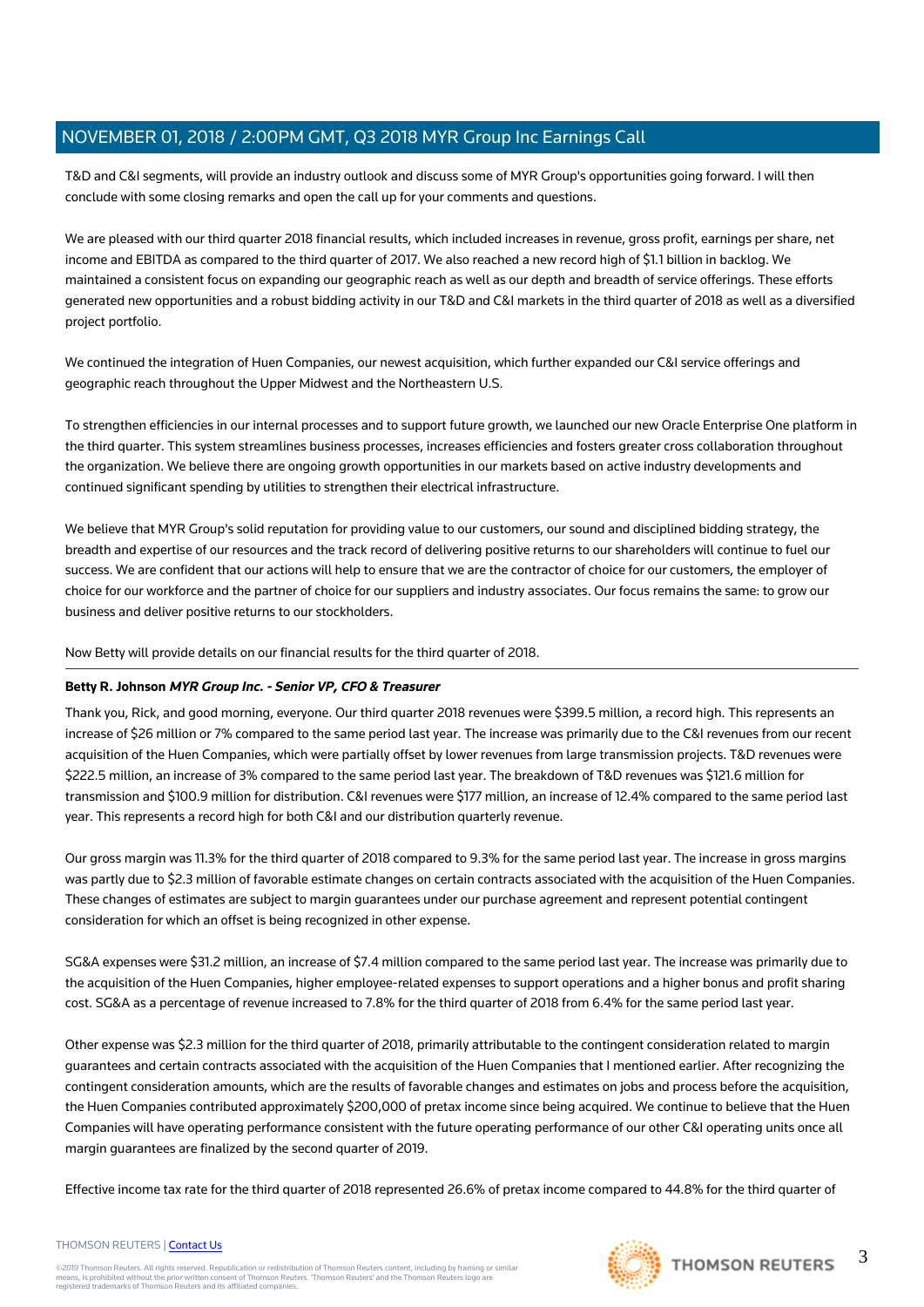T&D and C&I segments, will provide an industry outlook and discuss some of MYR Group's opportunities going forward. I will then conclude with some closing remarks and open the call up for your comments and questions.

We are pleased with our third quarter 2018 financial results, which included increases in revenue, gross profit, earnings per share, net income and EBITDA as compared to the third quarter of 2017. We also reached a new record high of \$1.1 billion in backlog. We maintained a consistent focus on expanding our geographic reach as well as our depth and breadth of service offerings. These efforts generated new opportunities and a robust bidding activity in our T&D and C&I markets in the third quarter of 2018 as well as a diversified project portfolio.

We continued the integration of Huen Companies, our newest acquisition, which further expanded our C&I service offerings and geographic reach throughout the Upper Midwest and the Northeastern U.S.

To strengthen efficiencies in our internal processes and to support future growth, we launched our new Oracle Enterprise One platform in the third quarter. This system streamlines business processes, increases efficiencies and fosters greater cross collaboration throughout the organization. We believe there are ongoing growth opportunities in our markets based on active industry developments and continued significant spending by utilities to strengthen their electrical infrastructure.

We believe that MYR Group's solid reputation for providing value to our customers, our sound and disciplined bidding strategy, the breadth and expertise of our resources and the track record of delivering positive returns to our shareholders will continue to fuel our success. We are confident that our actions will help to ensure that we are the contractor of choice for our customers, the employer of choice for our workforce and the partner of choice for our suppliers and industry associates. Our focus remains the same: to grow our business and deliver positive returns to our stockholders.

Now Betty will provide details on our financial results for the third quarter of 2018.

#### **Betty R. Johnson MYR Group Inc. - Senior VP, CFO & Treasurer**

Thank you, Rick, and good morning, everyone. Our third quarter 2018 revenues were \$399.5 million, a record high. This represents an increase of \$26 million or 7% compared to the same period last year. The increase was primarily due to the C&I revenues from our recent acquisition of the Huen Companies, which were partially offset by lower revenues from large transmission projects. T&D revenues were \$222.5 million, an increase of 3% compared to the same period last year. The breakdown of T&D revenues was \$121.6 million for transmission and \$100.9 million for distribution. C&I revenues were \$177 million, an increase of 12.4% compared to the same period last year. This represents a record high for both C&I and our distribution quarterly revenue.

Our gross margin was 11.3% for the third quarter of 2018 compared to 9.3% for the same period last year. The increase in gross margins was partly due to \$2.3 million of favorable estimate changes on certain contracts associated with the acquisition of the Huen Companies. These changes of estimates are subject to margin guarantees under our purchase agreement and represent potential contingent consideration for which an offset is being recognized in other expense.

SG&A expenses were \$31.2 million, an increase of \$7.4 million compared to the same period last year. The increase was primarily due to the acquisition of the Huen Companies, higher employee-related expenses to support operations and a higher bonus and profit sharing cost. SG&A as a percentage of revenue increased to 7.8% for the third quarter of 2018 from 6.4% for the same period last year.

Other expense was \$2.3 million for the third quarter of 2018, primarily attributable to the contingent consideration related to margin guarantees and certain contracts associated with the acquisition of the Huen Companies that I mentioned earlier. After recognizing the contingent consideration amounts, which are the results of favorable changes and estimates on jobs and process before the acquisition, the Huen Companies contributed approximately \$200,000 of pretax income since being acquired. We continue to believe that the Huen Companies will have operating performance consistent with the future operating performance of our other C&I operating units once all margin guarantees are finalized by the second quarter of 2019.

Effective income tax rate for the third quarter of 2018 represented 26.6% of pretax income compared to 44.8% for the third quarter of

#### THOMSON REUTERS | [Contact Us](https://my.thomsonreuters.com/ContactUsNew)

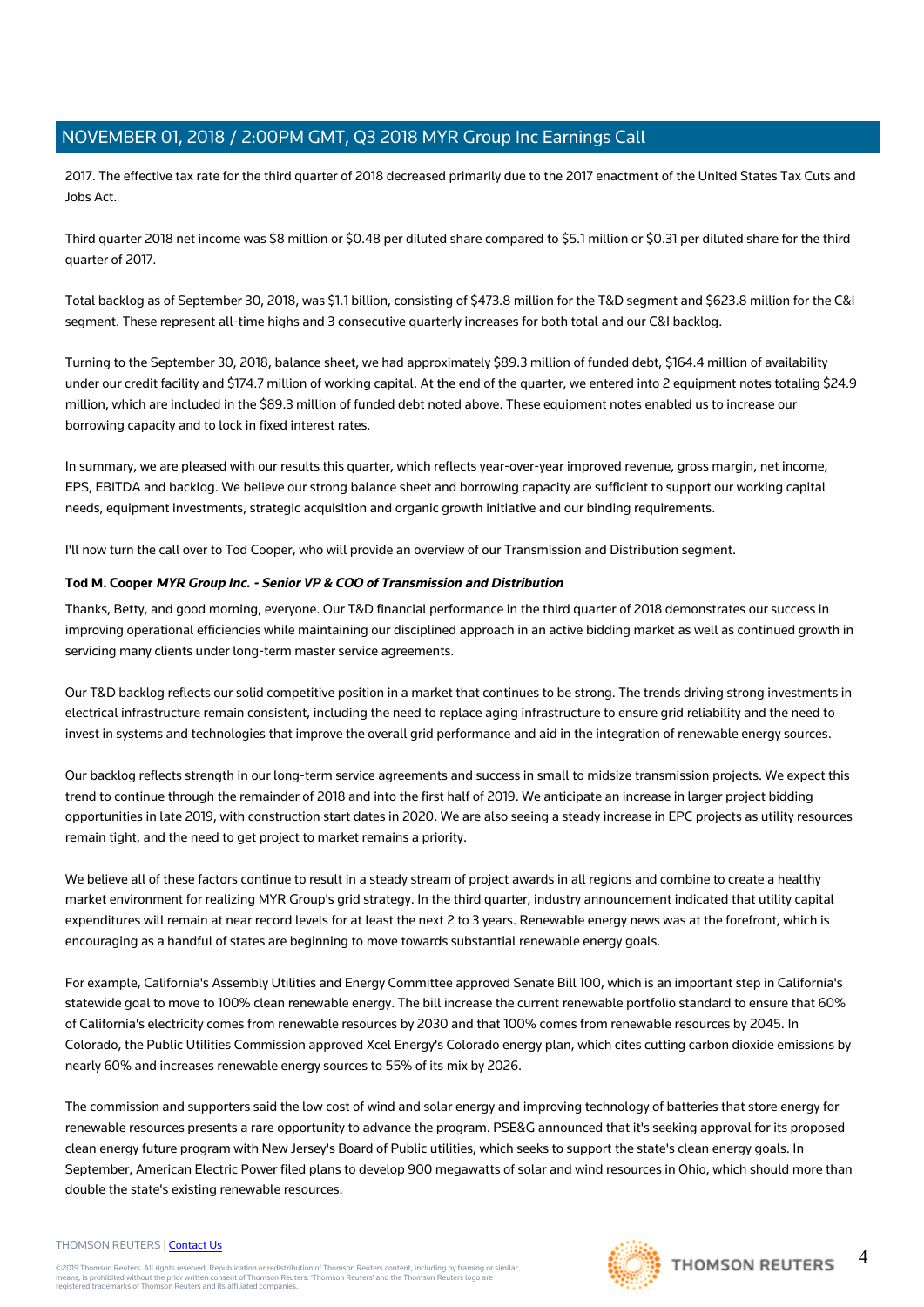2017. The effective tax rate for the third quarter of 2018 decreased primarily due to the 2017 enactment of the United States Tax Cuts and Jobs Act.

Third quarter 2018 net income was \$8 million or \$0.48 per diluted share compared to \$5.1 million or \$0.31 per diluted share for the third quarter of 2017.

Total backlog as of September 30, 2018, was \$1.1 billion, consisting of \$473.8 million for the T&D segment and \$623.8 million for the C&I segment. These represent all-time highs and 3 consecutive quarterly increases for both total and our C&I backlog.

Turning to the September 30, 2018, balance sheet, we had approximately \$89.3 million of funded debt, \$164.4 million of availability under our credit facility and \$174.7 million of working capital. At the end of the quarter, we entered into 2 equipment notes totaling \$24.9 million, which are included in the \$89.3 million of funded debt noted above. These equipment notes enabled us to increase our borrowing capacity and to lock in fixed interest rates.

In summary, we are pleased with our results this quarter, which reflects year-over-year improved revenue, gross margin, net income, EPS, EBITDA and backlog. We believe our strong balance sheet and borrowing capacity are sufficient to support our working capital needs, equipment investments, strategic acquisition and organic growth initiative and our binding requirements.

I'll now turn the call over to Tod Cooper, who will provide an overview of our Transmission and Distribution segment.

#### **Tod M. Cooper MYR Group Inc. - Senior VP & COO of Transmission and Distribution**

Thanks, Betty, and good morning, everyone. Our T&D financial performance in the third quarter of 2018 demonstrates our success in improving operational efficiencies while maintaining our disciplined approach in an active bidding market as well as continued growth in servicing many clients under long-term master service agreements.

Our T&D backlog reflects our solid competitive position in a market that continues to be strong. The trends driving strong investments in electrical infrastructure remain consistent, including the need to replace aging infrastructure to ensure grid reliability and the need to invest in systems and technologies that improve the overall grid performance and aid in the integration of renewable energy sources.

Our backlog reflects strength in our long-term service agreements and success in small to midsize transmission projects. We expect this trend to continue through the remainder of 2018 and into the first half of 2019. We anticipate an increase in larger project bidding opportunities in late 2019, with construction start dates in 2020. We are also seeing a steady increase in EPC projects as utility resources remain tight, and the need to get project to market remains a priority.

We believe all of these factors continue to result in a steady stream of project awards in all regions and combine to create a healthy market environment for realizing MYR Group's grid strategy. In the third quarter, industry announcement indicated that utility capital expenditures will remain at near record levels for at least the next 2 to 3 years. Renewable energy news was at the forefront, which is encouraging as a handful of states are beginning to move towards substantial renewable energy goals.

For example, California's Assembly Utilities and Energy Committee approved Senate Bill 100, which is an important step in California's statewide goal to move to 100% clean renewable energy. The bill increase the current renewable portfolio standard to ensure that 60% of California's electricity comes from renewable resources by 2030 and that 100% comes from renewable resources by 2045. In Colorado, the Public Utilities Commission approved Xcel Energy's Colorado energy plan, which cites cutting carbon dioxide emissions by nearly 60% and increases renewable energy sources to 55% of its mix by 2026.

The commission and supporters said the low cost of wind and solar energy and improving technology of batteries that store energy for renewable resources presents a rare opportunity to advance the program. PSE&G announced that it's seeking approval for its proposed clean energy future program with New Jersey's Board of Public utilities, which seeks to support the state's clean energy goals. In September, American Electric Power filed plans to develop 900 megawatts of solar and wind resources in Ohio, which should more than double the state's existing renewable resources.

#### THOMSON REUTERS | [Contact Us](https://my.thomsonreuters.com/ContactUsNew)

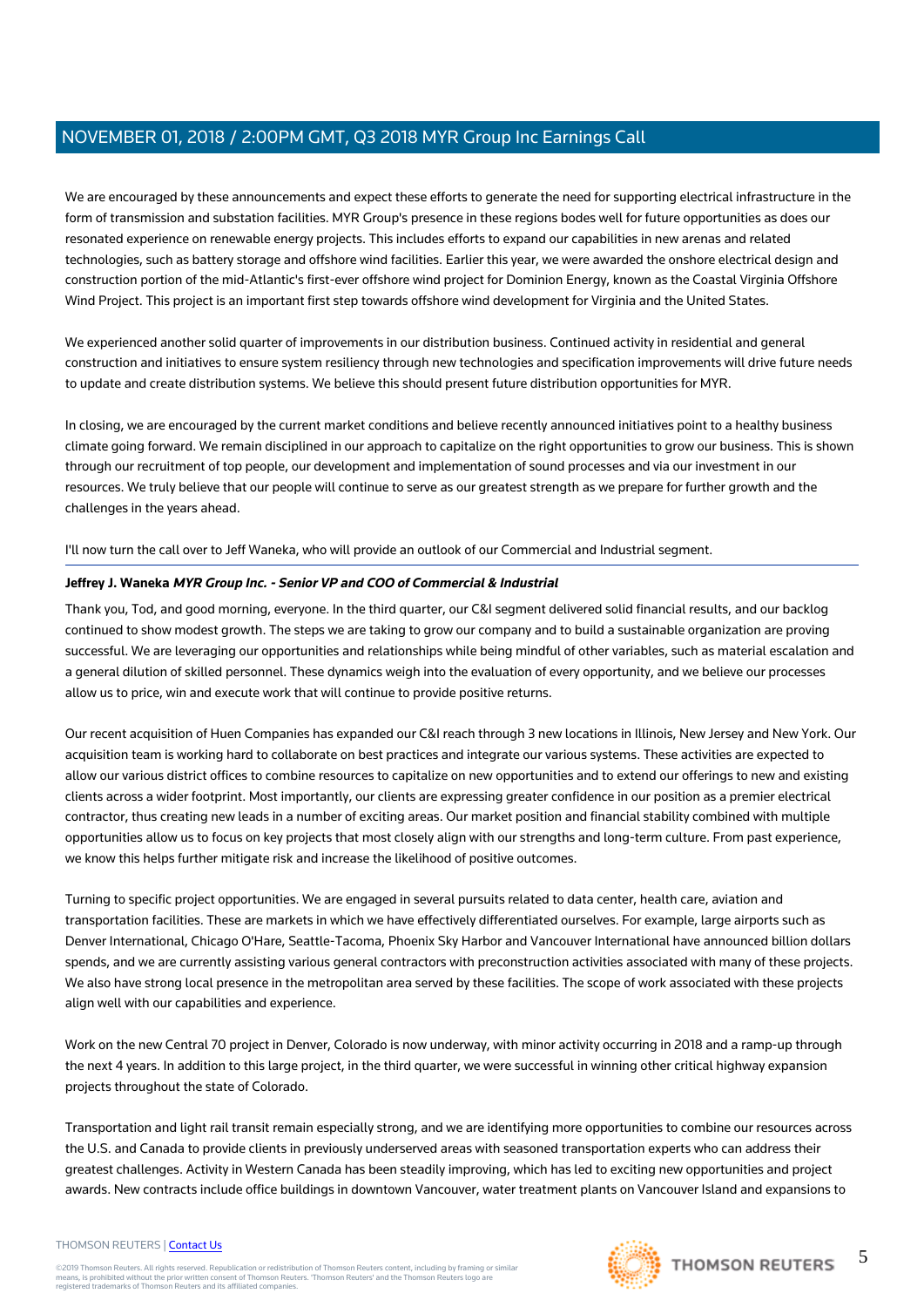We are encouraged by these announcements and expect these efforts to generate the need for supporting electrical infrastructure in the form of transmission and substation facilities. MYR Group's presence in these regions bodes well for future opportunities as does our resonated experience on renewable energy projects. This includes efforts to expand our capabilities in new arenas and related technologies, such as battery storage and offshore wind facilities. Earlier this year, we were awarded the onshore electrical design and construction portion of the mid-Atlantic's first-ever offshore wind project for Dominion Energy, known as the Coastal Virginia Offshore Wind Project. This project is an important first step towards offshore wind development for Virginia and the United States.

We experienced another solid quarter of improvements in our distribution business. Continued activity in residential and general construction and initiatives to ensure system resiliency through new technologies and specification improvements will drive future needs to update and create distribution systems. We believe this should present future distribution opportunities for MYR.

In closing, we are encouraged by the current market conditions and believe recently announced initiatives point to a healthy business climate going forward. We remain disciplined in our approach to capitalize on the right opportunities to grow our business. This is shown through our recruitment of top people, our development and implementation of sound processes and via our investment in our resources. We truly believe that our people will continue to serve as our greatest strength as we prepare for further growth and the challenges in the years ahead.

#### I'll now turn the call over to Jeff Waneka, who will provide an outlook of our Commercial and Industrial segment.

#### **Jeffrey J. Waneka MYR Group Inc. - Senior VP and COO of Commercial & Industrial**

Thank you, Tod, and good morning, everyone. In the third quarter, our C&I segment delivered solid financial results, and our backlog continued to show modest growth. The steps we are taking to grow our company and to build a sustainable organization are proving successful. We are leveraging our opportunities and relationships while being mindful of other variables, such as material escalation and a general dilution of skilled personnel. These dynamics weigh into the evaluation of every opportunity, and we believe our processes allow us to price, win and execute work that will continue to provide positive returns.

Our recent acquisition of Huen Companies has expanded our C&I reach through 3 new locations in Illinois, New Jersey and New York. Our acquisition team is working hard to collaborate on best practices and integrate our various systems. These activities are expected to allow our various district offices to combine resources to capitalize on new opportunities and to extend our offerings to new and existing clients across a wider footprint. Most importantly, our clients are expressing greater confidence in our position as a premier electrical contractor, thus creating new leads in a number of exciting areas. Our market position and financial stability combined with multiple opportunities allow us to focus on key projects that most closely align with our strengths and long-term culture. From past experience, we know this helps further mitigate risk and increase the likelihood of positive outcomes.

Turning to specific project opportunities. We are engaged in several pursuits related to data center, health care, aviation and transportation facilities. These are markets in which we have effectively differentiated ourselves. For example, large airports such as Denver International, Chicago O'Hare, Seattle-Tacoma, Phoenix Sky Harbor and Vancouver International have announced billion dollars spends, and we are currently assisting various general contractors with preconstruction activities associated with many of these projects. We also have strong local presence in the metropolitan area served by these facilities. The scope of work associated with these projects align well with our capabilities and experience.

Work on the new Central 70 project in Denver, Colorado is now underway, with minor activity occurring in 2018 and a ramp-up through the next 4 years. In addition to this large project, in the third quarter, we were successful in winning other critical highway expansion projects throughout the state of Colorado.

Transportation and light rail transit remain especially strong, and we are identifying more opportunities to combine our resources across the U.S. and Canada to provide clients in previously underserved areas with seasoned transportation experts who can address their greatest challenges. Activity in Western Canada has been steadily improving, which has led to exciting new opportunities and project awards. New contracts include office buildings in downtown Vancouver, water treatment plants on Vancouver Island and expansions to

#### THOMSON REUTERS | [Contact Us](https://my.thomsonreuters.com/ContactUsNew)

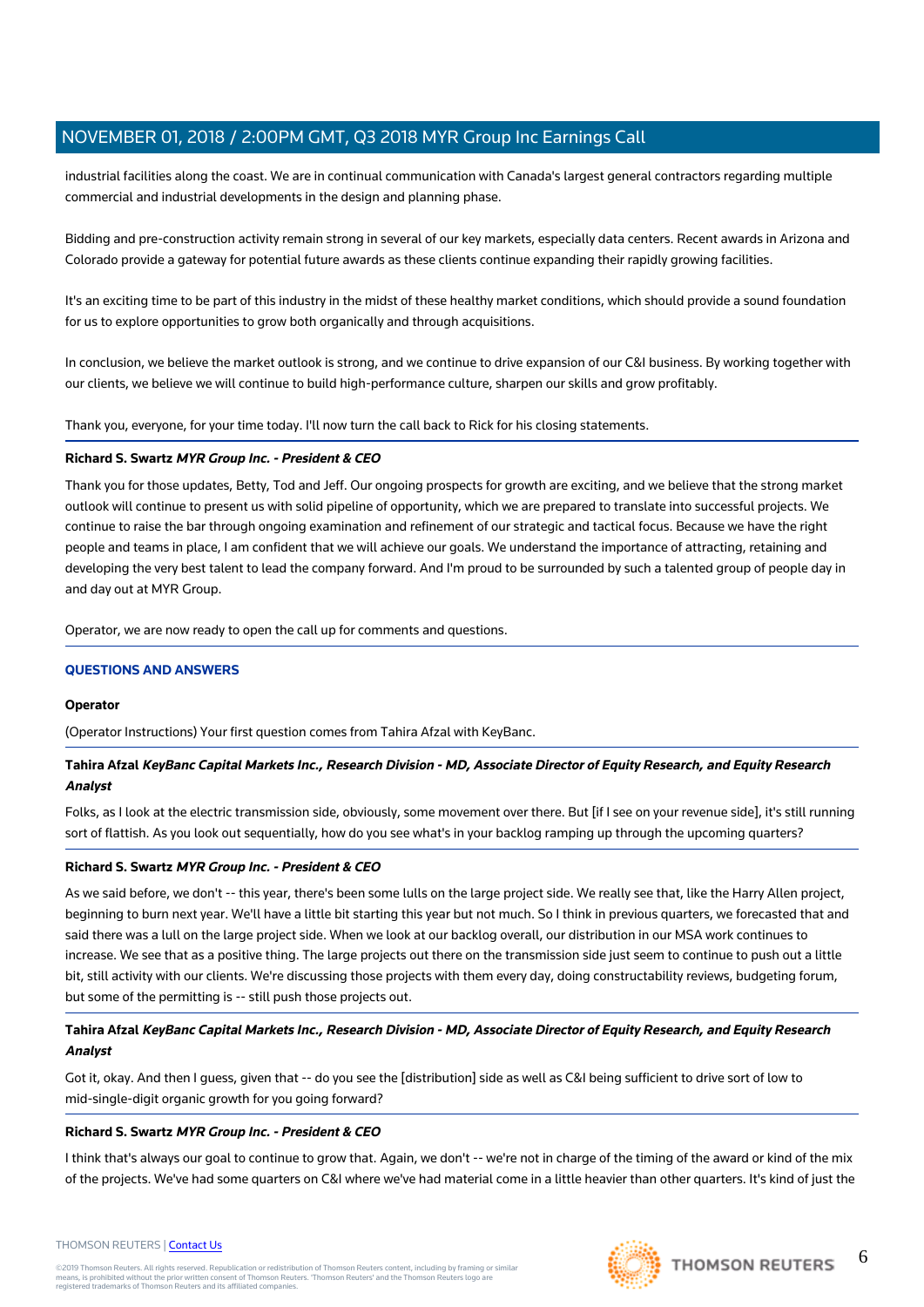industrial facilities along the coast. We are in continual communication with Canada's largest general contractors regarding multiple commercial and industrial developments in the design and planning phase.

Bidding and pre-construction activity remain strong in several of our key markets, especially data centers. Recent awards in Arizona and Colorado provide a gateway for potential future awards as these clients continue expanding their rapidly growing facilities.

It's an exciting time to be part of this industry in the midst of these healthy market conditions, which should provide a sound foundation for us to explore opportunities to grow both organically and through acquisitions.

In conclusion, we believe the market outlook is strong, and we continue to drive expansion of our C&I business. By working together with our clients, we believe we will continue to build high-performance culture, sharpen our skills and grow profitably.

Thank you, everyone, for your time today. I'll now turn the call back to Rick for his closing statements.

#### **Richard S. Swartz MYR Group Inc. - President & CEO**

Thank you for those updates, Betty, Tod and Jeff. Our ongoing prospects for growth are exciting, and we believe that the strong market outlook will continue to present us with solid pipeline of opportunity, which we are prepared to translate into successful projects. We continue to raise the bar through ongoing examination and refinement of our strategic and tactical focus. Because we have the right people and teams in place, I am confident that we will achieve our goals. We understand the importance of attracting, retaining and developing the very best talent to lead the company forward. And I'm proud to be surrounded by such a talented group of people day in and day out at MYR Group.

Operator, we are now ready to open the call up for comments and questions.

#### **QUESTIONS AND ANSWERS**

#### **Operator**

(Operator Instructions) Your first question comes from Tahira Afzal with KeyBanc.

## **Tahira Afzal KeyBanc Capital Markets Inc., Research Division - MD, Associate Director of Equity Research, and Equity Research Analyst**

Folks, as I look at the electric transmission side, obviously, some movement over there. But [if I see on your revenue side], it's still running sort of flattish. As you look out sequentially, how do you see what's in your backlog ramping up through the upcoming quarters?

#### **Richard S. Swartz MYR Group Inc. - President & CEO**

As we said before, we don't -- this year, there's been some lulls on the large project side. We really see that, like the Harry Allen project, beginning to burn next year. We'll have a little bit starting this year but not much. So I think in previous quarters, we forecasted that and said there was a lull on the large project side. When we look at our backlog overall, our distribution in our MSA work continues to increase. We see that as a positive thing. The large projects out there on the transmission side just seem to continue to push out a little bit, still activity with our clients. We're discussing those projects with them every day, doing constructability reviews, budgeting forum, but some of the permitting is -- still push those projects out.

# **Tahira Afzal KeyBanc Capital Markets Inc., Research Division - MD, Associate Director of Equity Research, and Equity Research Analyst**

Got it, okay. And then I guess, given that -- do you see the [distribution] side as well as C&I being sufficient to drive sort of low to mid-single-digit organic growth for you going forward?

#### **Richard S. Swartz MYR Group Inc. - President & CEO**

I think that's always our goal to continue to grow that. Again, we don't -- we're not in charge of the timing of the award or kind of the mix of the projects. We've had some quarters on C&I where we've had material come in a little heavier than other quarters. It's kind of just the



#### THOMSON REUTERS | [Contact Us](https://my.thomsonreuters.com/ContactUsNew)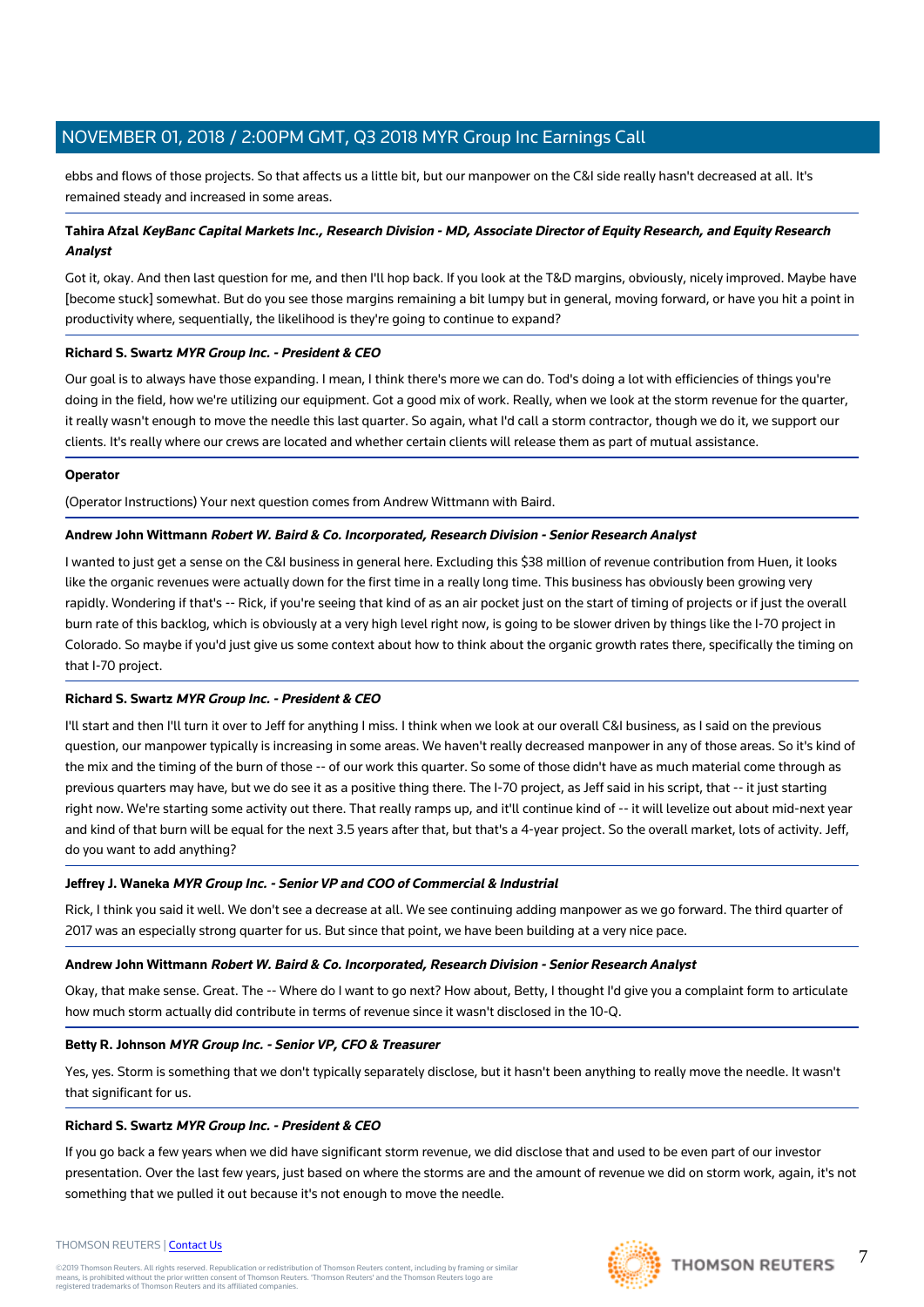ebbs and flows of those projects. So that affects us a little bit, but our manpower on the C&I side really hasn't decreased at all. It's remained steady and increased in some areas.

## **Tahira Afzal KeyBanc Capital Markets Inc., Research Division - MD, Associate Director of Equity Research, and Equity Research Analyst**

Got it, okay. And then last question for me, and then I'll hop back. If you look at the T&D margins, obviously, nicely improved. Maybe have [become stuck] somewhat. But do you see those margins remaining a bit lumpy but in general, moving forward, or have you hit a point in productivity where, sequentially, the likelihood is they're going to continue to expand?

## **Richard S. Swartz MYR Group Inc. - President & CEO**

Our goal is to always have those expanding. I mean, I think there's more we can do. Tod's doing a lot with efficiencies of things you're doing in the field, how we're utilizing our equipment. Got a good mix of work. Really, when we look at the storm revenue for the quarter, it really wasn't enough to move the needle this last quarter. So again, what I'd call a storm contractor, though we do it, we support our clients. It's really where our crews are located and whether certain clients will release them as part of mutual assistance.

#### **Operator**

(Operator Instructions) Your next question comes from Andrew Wittmann with Baird.

#### **Andrew John Wittmann Robert W. Baird & Co. Incorporated, Research Division - Senior Research Analyst**

I wanted to just get a sense on the C&I business in general here. Excluding this \$38 million of revenue contribution from Huen, it looks like the organic revenues were actually down for the first time in a really long time. This business has obviously been growing very rapidly. Wondering if that's -- Rick, if you're seeing that kind of as an air pocket just on the start of timing of projects or if just the overall burn rate of this backlog, which is obviously at a very high level right now, is going to be slower driven by things like the I-70 project in Colorado. So maybe if you'd just give us some context about how to think about the organic growth rates there, specifically the timing on that I-70 project.

## **Richard S. Swartz MYR Group Inc. - President & CEO**

I'll start and then I'll turn it over to Jeff for anything I miss. I think when we look at our overall C&I business, as I said on the previous question, our manpower typically is increasing in some areas. We haven't really decreased manpower in any of those areas. So it's kind of the mix and the timing of the burn of those -- of our work this quarter. So some of those didn't have as much material come through as previous quarters may have, but we do see it as a positive thing there. The I-70 project, as Jeff said in his script, that -- it just starting right now. We're starting some activity out there. That really ramps up, and it'll continue kind of -- it will levelize out about mid-next year and kind of that burn will be equal for the next 3.5 years after that, but that's a 4-year project. So the overall market, lots of activity. Jeff, do you want to add anything?

#### **Jeffrey J. Waneka MYR Group Inc. - Senior VP and COO of Commercial & Industrial**

Rick, I think you said it well. We don't see a decrease at all. We see continuing adding manpower as we go forward. The third quarter of 2017 was an especially strong quarter for us. But since that point, we have been building at a very nice pace.

#### **Andrew John Wittmann Robert W. Baird & Co. Incorporated, Research Division - Senior Research Analyst**

Okay, that make sense. Great. The -- Where do I want to go next? How about, Betty, I thought I'd give you a complaint form to articulate how much storm actually did contribute in terms of revenue since it wasn't disclosed in the 10-Q.

## **Betty R. Johnson MYR Group Inc. - Senior VP, CFO & Treasurer**

Yes, yes. Storm is something that we don't typically separately disclose, but it hasn't been anything to really move the needle. It wasn't that significant for us.

#### **Richard S. Swartz MYR Group Inc. - President & CEO**

If you go back a few years when we did have significant storm revenue, we did disclose that and used to be even part of our investor presentation. Over the last few years, just based on where the storms are and the amount of revenue we did on storm work, again, it's not something that we pulled it out because it's not enough to move the needle.

#### THOMSON REUTERS | [Contact Us](https://my.thomsonreuters.com/ContactUsNew)

©2019 Thomson Reuters. All rights reserved. Republication or redistribution of Thomson Reuters content, including by framing or similar<br>means, is prohibited without the prior written consent of Thomson Reuters. "Thomson Re



7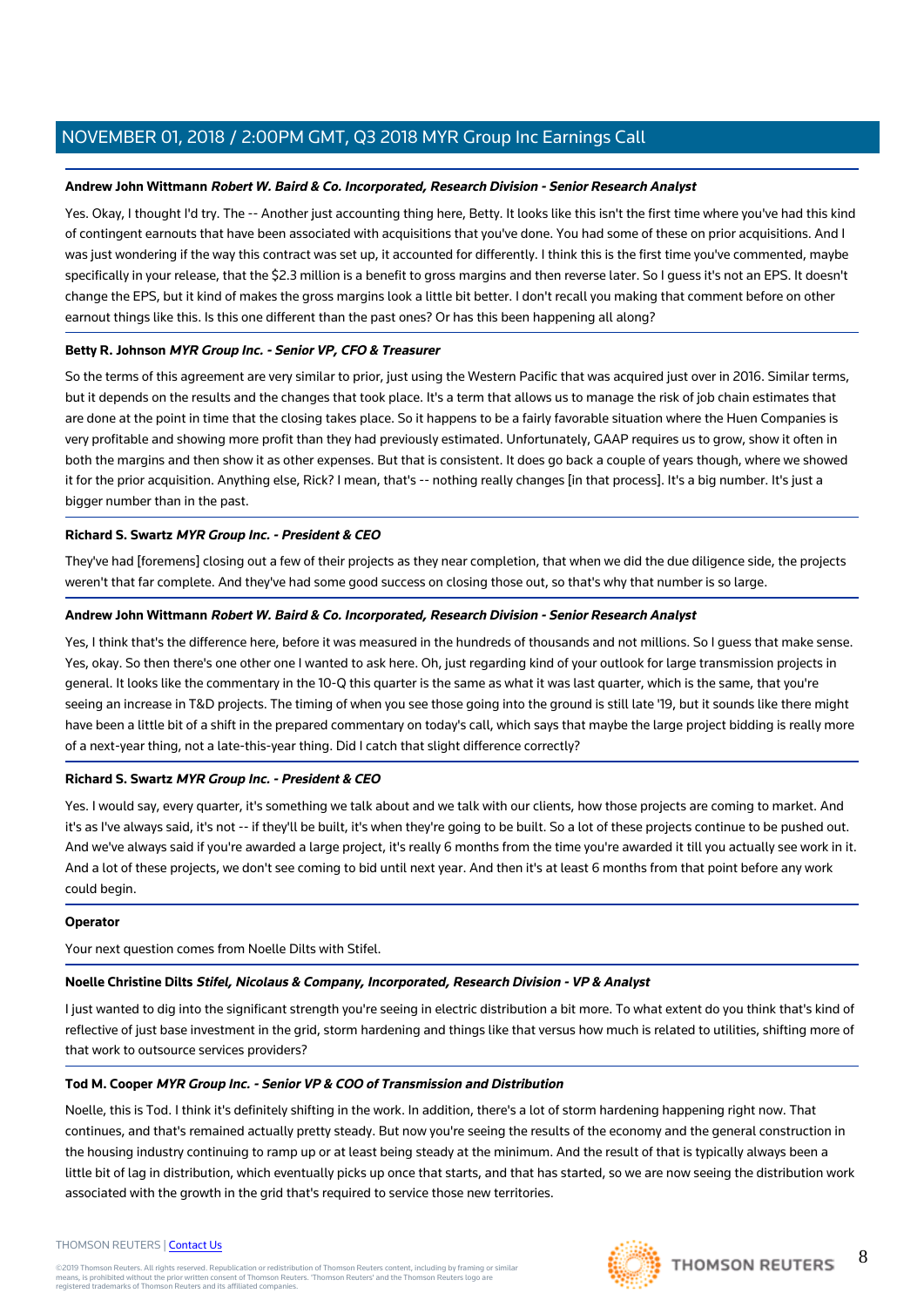### **Andrew John Wittmann Robert W. Baird & Co. Incorporated, Research Division - Senior Research Analyst**

Yes. Okay, I thought I'd try. The -- Another just accounting thing here, Betty. It looks like this isn't the first time where you've had this kind of contingent earnouts that have been associated with acquisitions that you've done. You had some of these on prior acquisitions. And I was just wondering if the way this contract was set up, it accounted for differently. I think this is the first time you've commented, maybe specifically in your release, that the \$2.3 million is a benefit to gross margins and then reverse later. So I guess it's not an EPS. It doesn't change the EPS, but it kind of makes the gross margins look a little bit better. I don't recall you making that comment before on other earnout things like this. Is this one different than the past ones? Or has this been happening all along?

#### **Betty R. Johnson MYR Group Inc. - Senior VP, CFO & Treasurer**

So the terms of this agreement are very similar to prior, just using the Western Pacific that was acquired just over in 2016. Similar terms, but it depends on the results and the changes that took place. It's a term that allows us to manage the risk of job chain estimates that are done at the point in time that the closing takes place. So it happens to be a fairly favorable situation where the Huen Companies is very profitable and showing more profit than they had previously estimated. Unfortunately, GAAP requires us to grow, show it often in both the margins and then show it as other expenses. But that is consistent. It does go back a couple of years though, where we showed it for the prior acquisition. Anything else, Rick? I mean, that's -- nothing really changes [in that process]. It's a big number. It's just a bigger number than in the past.

#### **Richard S. Swartz MYR Group Inc. - President & CEO**

They've had [foremens] closing out a few of their projects as they near completion, that when we did the due diligence side, the projects weren't that far complete. And they've had some good success on closing those out, so that's why that number is so large.

#### **Andrew John Wittmann Robert W. Baird & Co. Incorporated, Research Division - Senior Research Analyst**

Yes, I think that's the difference here, before it was measured in the hundreds of thousands and not millions. So I guess that make sense. Yes, okay. So then there's one other one I wanted to ask here. Oh, just regarding kind of your outlook for large transmission projects in general. It looks like the commentary in the 10-Q this quarter is the same as what it was last quarter, which is the same, that you're seeing an increase in T&D projects. The timing of when you see those going into the ground is still late '19, but it sounds like there might have been a little bit of a shift in the prepared commentary on today's call, which says that maybe the large project bidding is really more of a next-year thing, not a late-this-year thing. Did I catch that slight difference correctly?

## **Richard S. Swartz MYR Group Inc. - President & CEO**

Yes. I would say, every quarter, it's something we talk about and we talk with our clients, how those projects are coming to market. And it's as I've always said, it's not -- if they'll be built, it's when they're going to be built. So a lot of these projects continue to be pushed out. And we've always said if you're awarded a large project, it's really 6 months from the time you're awarded it till you actually see work in it. And a lot of these projects, we don't see coming to bid until next year. And then it's at least 6 months from that point before any work could begin.

#### **Operator**

Your next question comes from Noelle Dilts with Stifel.

#### **Noelle Christine Dilts Stifel, Nicolaus & Company, Incorporated, Research Division - VP & Analyst**

I just wanted to dig into the significant strength you're seeing in electric distribution a bit more. To what extent do you think that's kind of reflective of just base investment in the grid, storm hardening and things like that versus how much is related to utilities, shifting more of that work to outsource services providers?

#### **Tod M. Cooper MYR Group Inc. - Senior VP & COO of Transmission and Distribution**

Noelle, this is Tod. I think it's definitely shifting in the work. In addition, there's a lot of storm hardening happening right now. That continues, and that's remained actually pretty steady. But now you're seeing the results of the economy and the general construction in the housing industry continuing to ramp up or at least being steady at the minimum. And the result of that is typically always been a little bit of lag in distribution, which eventually picks up once that starts, and that has started, so we are now seeing the distribution work associated with the growth in the grid that's required to service those new territories.

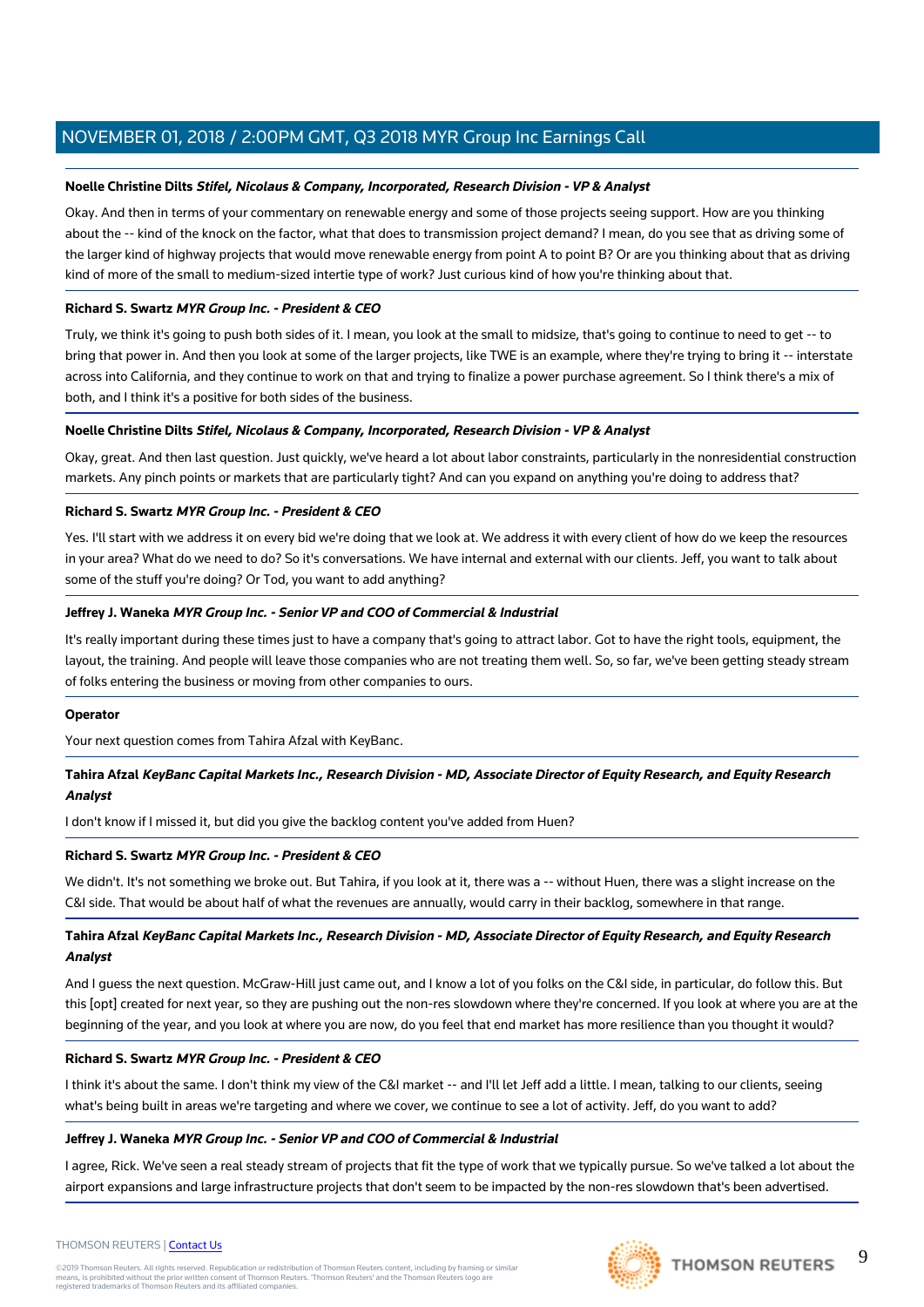### **Noelle Christine Dilts Stifel, Nicolaus & Company, Incorporated, Research Division - VP & Analyst**

Okay. And then in terms of your commentary on renewable energy and some of those projects seeing support. How are you thinking about the -- kind of the knock on the factor, what that does to transmission project demand? I mean, do you see that as driving some of the larger kind of highway projects that would move renewable energy from point A to point B? Or are you thinking about that as driving kind of more of the small to medium-sized intertie type of work? Just curious kind of how you're thinking about that.

#### **Richard S. Swartz MYR Group Inc. - President & CEO**

Truly, we think it's going to push both sides of it. I mean, you look at the small to midsize, that's going to continue to need to get -- to bring that power in. And then you look at some of the larger projects, like TWE is an example, where they're trying to bring it -- interstate across into California, and they continue to work on that and trying to finalize a power purchase agreement. So I think there's a mix of both, and I think it's a positive for both sides of the business.

#### **Noelle Christine Dilts Stifel, Nicolaus & Company, Incorporated, Research Division - VP & Analyst**

Okay, great. And then last question. Just quickly, we've heard a lot about labor constraints, particularly in the nonresidential construction markets. Any pinch points or markets that are particularly tight? And can you expand on anything you're doing to address that?

#### **Richard S. Swartz MYR Group Inc. - President & CEO**

Yes. I'll start with we address it on every bid we're doing that we look at. We address it with every client of how do we keep the resources in your area? What do we need to do? So it's conversations. We have internal and external with our clients. Jeff, you want to talk about some of the stuff you're doing? Or Tod, you want to add anything?

#### **Jeffrey J. Waneka MYR Group Inc. - Senior VP and COO of Commercial & Industrial**

It's really important during these times just to have a company that's going to attract labor. Got to have the right tools, equipment, the layout, the training. And people will leave those companies who are not treating them well. So, so far, we've been getting steady stream of folks entering the business or moving from other companies to ours.

#### **Operator**

Your next question comes from Tahira Afzal with KeyBanc.

## **Tahira Afzal KeyBanc Capital Markets Inc., Research Division - MD, Associate Director of Equity Research, and Equity Research Analyst**

I don't know if I missed it, but did you give the backlog content you've added from Huen?

#### **Richard S. Swartz MYR Group Inc. - President & CEO**

We didn't. It's not something we broke out. But Tahira, if you look at it, there was a -- without Huen, there was a slight increase on the C&I side. That would be about half of what the revenues are annually, would carry in their backlog, somewhere in that range.

## **Tahira Afzal KeyBanc Capital Markets Inc., Research Division - MD, Associate Director of Equity Research, and Equity Research Analyst**

And I guess the next question. McGraw-Hill just came out, and I know a lot of you folks on the C&I side, in particular, do follow this. But this [opt] created for next year, so they are pushing out the non-res slowdown where they're concerned. If you look at where you are at the beginning of the year, and you look at where you are now, do you feel that end market has more resilience than you thought it would?

#### **Richard S. Swartz MYR Group Inc. - President & CEO**

I think it's about the same. I don't think my view of the C&I market -- and I'll let Jeff add a little. I mean, talking to our clients, seeing what's being built in areas we're targeting and where we cover, we continue to see a lot of activity. Jeff, do you want to add?

#### **Jeffrey J. Waneka MYR Group Inc. - Senior VP and COO of Commercial & Industrial**

I agree, Rick. We've seen a real steady stream of projects that fit the type of work that we typically pursue. So we've talked a lot about the airport expansions and large infrastructure projects that don't seem to be impacted by the non-res slowdown that's been advertised.

#### THOMSON REUTERS | [Contact Us](https://my.thomsonreuters.com/ContactUsNew)

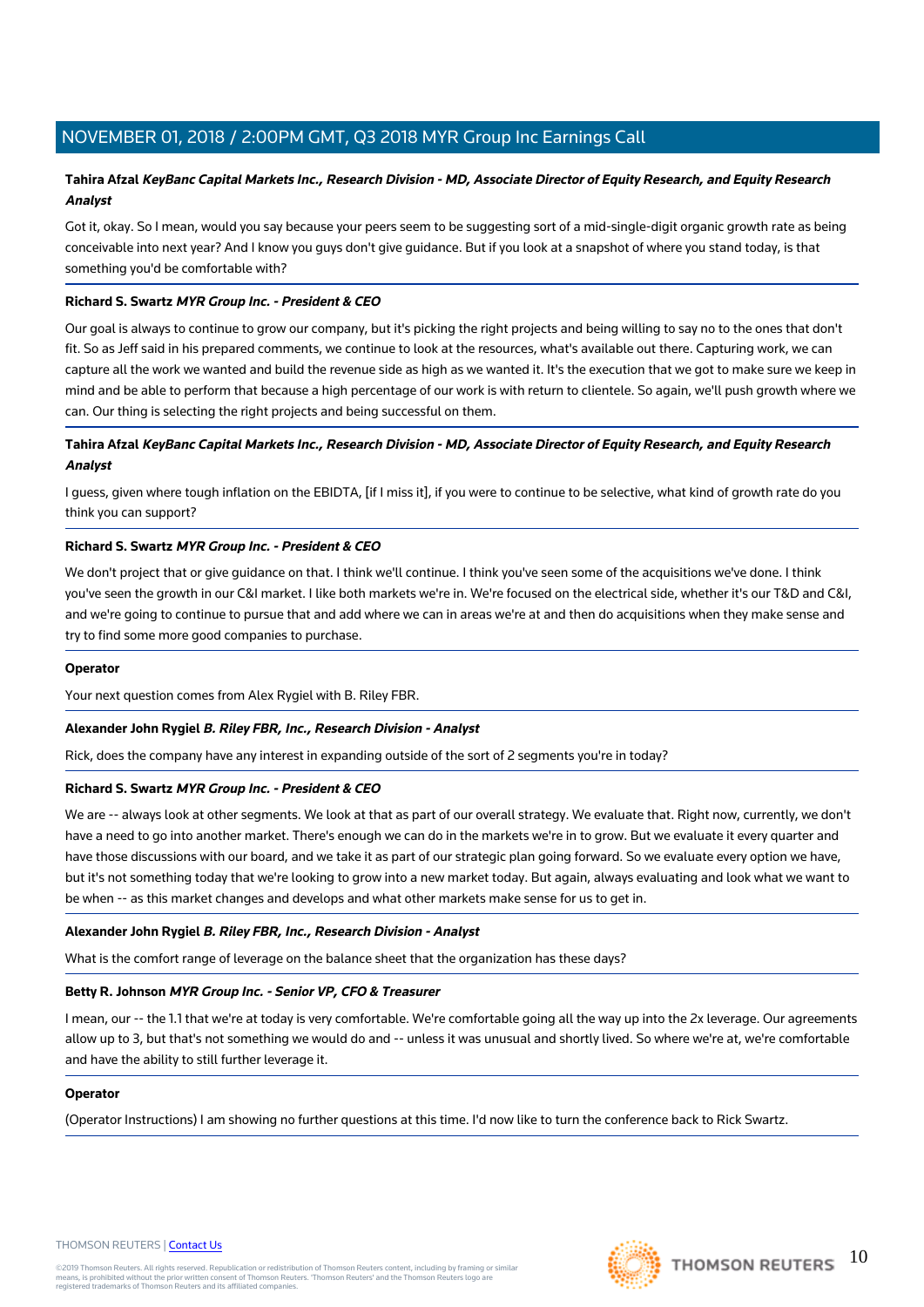# **Tahira Afzal KeyBanc Capital Markets Inc., Research Division - MD, Associate Director of Equity Research, and Equity Research Analyst**

Got it, okay. So I mean, would you say because your peers seem to be suggesting sort of a mid-single-digit organic growth rate as being conceivable into next year? And I know you guys don't give guidance. But if you look at a snapshot of where you stand today, is that something you'd be comfortable with?

#### **Richard S. Swartz MYR Group Inc. - President & CEO**

Our goal is always to continue to grow our company, but it's picking the right projects and being willing to say no to the ones that don't fit. So as Jeff said in his prepared comments, we continue to look at the resources, what's available out there. Capturing work, we can capture all the work we wanted and build the revenue side as high as we wanted it. It's the execution that we got to make sure we keep in mind and be able to perform that because a high percentage of our work is with return to clientele. So again, we'll push growth where we can. Our thing is selecting the right projects and being successful on them.

## **Tahira Afzal KeyBanc Capital Markets Inc., Research Division - MD, Associate Director of Equity Research, and Equity Research Analyst**

I guess, given where tough inflation on the EBIDTA, [if I miss it], if you were to continue to be selective, what kind of growth rate do you think you can support?

#### **Richard S. Swartz MYR Group Inc. - President & CEO**

We don't project that or give guidance on that. I think we'll continue. I think you've seen some of the acquisitions we've done. I think you've seen the growth in our C&I market. I like both markets we're in. We're focused on the electrical side, whether it's our T&D and C&I, and we're going to continue to pursue that and add where we can in areas we're at and then do acquisitions when they make sense and try to find some more good companies to purchase.

#### **Operator**

Your next question comes from Alex Rygiel with B. Riley FBR.

#### **Alexander John Rygiel B. Riley FBR, Inc., Research Division - Analyst**

Rick, does the company have any interest in expanding outside of the sort of 2 segments you're in today?

#### **Richard S. Swartz MYR Group Inc. - President & CEO**

We are -- always look at other segments. We look at that as part of our overall strategy. We evaluate that. Right now, currently, we don't have a need to go into another market. There's enough we can do in the markets we're in to grow. But we evaluate it every quarter and have those discussions with our board, and we take it as part of our strategic plan going forward. So we evaluate every option we have, but it's not something today that we're looking to grow into a new market today. But again, always evaluating and look what we want to be when -- as this market changes and develops and what other markets make sense for us to get in.

#### **Alexander John Rygiel B. Riley FBR, Inc., Research Division - Analyst**

What is the comfort range of leverage on the balance sheet that the organization has these days?

#### **Betty R. Johnson MYR Group Inc. - Senior VP, CFO & Treasurer**

I mean, our -- the 1.1 that we're at today is very comfortable. We're comfortable going all the way up into the 2x leverage. Our agreements allow up to 3, but that's not something we would do and -- unless it was unusual and shortly lived. So where we're at, we're comfortable and have the ability to still further leverage it.

#### **Operator**

(Operator Instructions) I am showing no further questions at this time. I'd now like to turn the conference back to Rick Swartz.